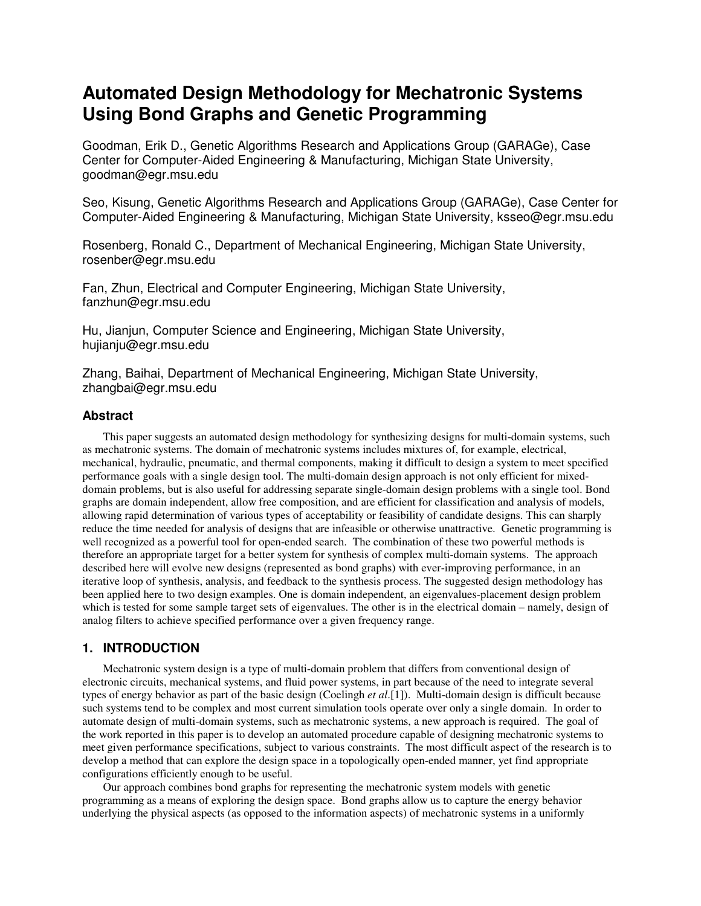# **Automated Design Methodology for Mechatronic Systems Using Bond Graphs and Genetic Programming**

Goodman, Erik D., Genetic Algorithms Research and Applications Group (GARAGe), Case Center for Computer-Aided Engineering & Manufacturing, Michigan State University, goodman@egr.msu.edu

Seo, Kisung, Genetic Algorithms Research and Applications Group (GARAGe), Case Center for Computer-Aided Engineering & Manufacturing, Michigan State University, ksseo@egr.msu.edu

Rosenberg, Ronald C., Department of Mechanical Engineering, Michigan State University, rosenber@egr.msu.edu

Fan, Zhun, Electrical and Computer Engineering, Michigan State University, fanzhun@egr.msu.edu

Hu, Jianjun, Computer Science and Engineering, Michigan State University, hujianju@egr.msu.edu

Zhang, Baihai, Department of Mechanical Engineering, Michigan State University, zhangbai@egr.msu.edu

## **Abstract**

This paper suggests an automated design methodology for synthesizing designs for multi-domain systems, such as mechatronic systems. The domain of mechatronic systems includes mixtures of, for example, electrical, mechanical, hydraulic, pneumatic, and thermal components, making it difficult to design a system to meet specified performance goals with a single design tool. The multi-domain design approach is not only efficient for mixeddomain problems, but is also useful for addressing separate single-domain design problems with a single tool. Bond graphs are domain independent, allow free composition, and are efficient for classification and analysis of models, allowing rapid determination of various types of acceptability or feasibility of candidate designs. This can sharply reduce the time needed for analysis of designs that are infeasible or otherwise unattractive. Genetic programming is well recognized as a powerful tool for open-ended search. The combination of these two powerful methods is therefore an appropriate target for a better system for synthesis of complex multi-domain systems. The approach described here will evolve new designs (represented as bond graphs) with ever-improving performance, in an iterative loop of synthesis, analysis, and feedback to the synthesis process. The suggested design methodology has been applied here to two design examples. One is domain independent, an eigenvalues-placement design problem which is tested for some sample target sets of eigenvalues. The other is in the electrical domain – namely, design of analog filters to achieve specified performance over a given frequency range.

# **1. INTRODUCTION**

Mechatronic system design is a type of multi-domain problem that differs from conventional design of electronic circuits, mechanical systems, and fluid power systems, in part because of the need to integrate several types of energy behavior as part of the basic design (Coelingh *et al*.[1]). Multi-domain design is difficult because such systems tend to be complex and most current simulation tools operate over only a single domain. In order to automate design of multi-domain systems, such as mechatronic systems, a new approach is required. The goal of the work reported in this paper is to develop an automated procedure capable of designing mechatronic systems to meet given performance specifications, subject to various constraints. The most difficult aspect of the research is to develop a method that can explore the design space in a topologically open-ended manner, yet find appropriate configurations efficiently enough to be useful.

Our approach combines bond graphs for representing the mechatronic system models with genetic programming as a means of exploring the design space. Bond graphs allow us to capture the energy behavior underlying the physical aspects (as opposed to the information aspects) of mechatronic systems in a uniformly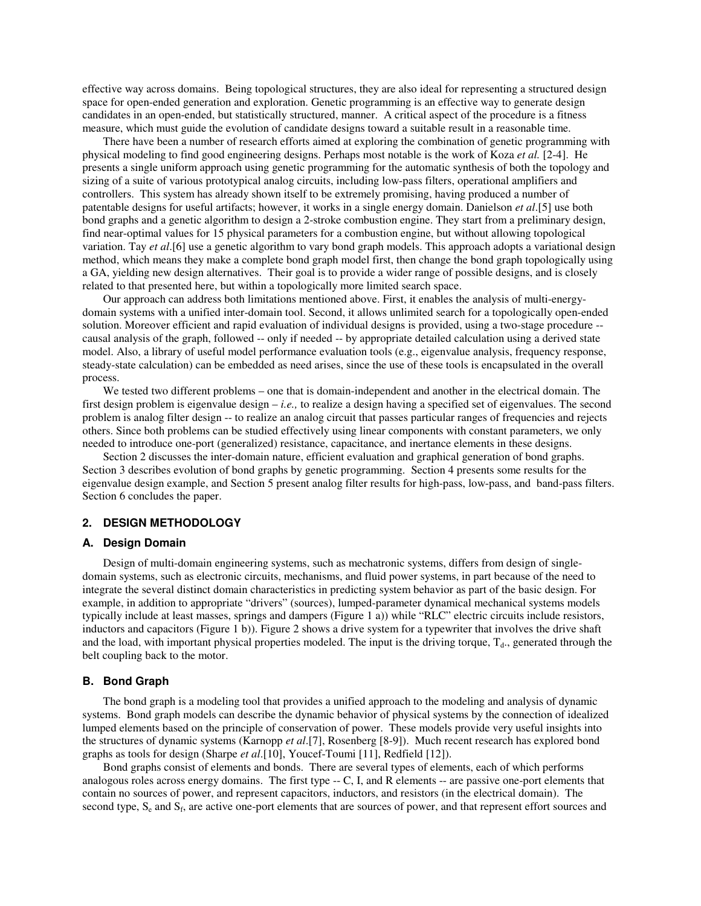effective way across domains. Being topological structures, they are also ideal for representing a structured design space for open-ended generation and exploration. Genetic programming is an effective way to generate design candidates in an open-ended, but statistically structured, manner. A critical aspect of the procedure is a fitness measure, which must guide the evolution of candidate designs toward a suitable result in a reasonable time.

There have been a number of research efforts aimed at exploring the combination of genetic programming with physical modeling to find good engineering designs. Perhaps most notable is the work of Koza *et al.* [2-4]. He presents a single uniform approach using genetic programming for the automatic synthesis of both the topology and sizing of a suite of various prototypical analog circuits, including low-pass filters, operational amplifiers and controllers. This system has already shown itself to be extremely promising, having produced a number of patentable designs for useful artifacts; however, it works in a single energy domain. Danielson *et al*.[5] use both bond graphs and a genetic algorithm to design a 2-stroke combustion engine. They start from a preliminary design, find near-optimal values for 15 physical parameters for a combustion engine, but without allowing topological variation. Tay *et al*.[6] use a genetic algorithm to vary bond graph models. This approach adopts a variational design method, which means they make a complete bond graph model first, then change the bond graph topologically using a GA, yielding new design alternatives. Their goal is to provide a wider range of possible designs, and is closely related to that presented here, but within a topologically more limited search space.

Our approach can address both limitations mentioned above. First, it enables the analysis of multi-energydomain systems with a unified inter-domain tool. Second, it allows unlimited search for a topologically open-ended solution. Moreover efficient and rapid evaluation of individual designs is provided, using a two-stage procedure - causal analysis of the graph, followed -- only if needed -- by appropriate detailed calculation using a derived state model. Also, a library of useful model performance evaluation tools (e.g., eigenvalue analysis, frequency response, steady-state calculation) can be embedded as need arises, since the use of these tools is encapsulated in the overall process.

We tested two different problems – one that is domain-independent and another in the electrical domain. The first design problem is eigenvalue design – *i.e.,* to realize a design having a specified set of eigenvalues. The second problem is analog filter design -- to realize an analog circuit that passes particular ranges of frequencies and rejects others. Since both problems can be studied effectively using linear components with constant parameters, we only needed to introduce one-port (generalized) resistance, capacitance, and inertance elements in these designs.

Section 2 discusses the inter-domain nature, efficient evaluation and graphical generation of bond graphs. Section 3 describes evolution of bond graphs by genetic programming. Section 4 presents some results for the eigenvalue design example, and Section 5 present analog filter results for high-pass, low-pass, and band-pass filters. Section 6 concludes the paper.

#### **2. DESIGN METHODOLOGY**

#### **A. Design Domain**

Design of multi-domain engineering systems, such as mechatronic systems, differs from design of singledomain systems, such as electronic circuits, mechanisms, and fluid power systems, in part because of the need to integrate the several distinct domain characteristics in predicting system behavior as part of the basic design. For example, in addition to appropriate "drivers" (sources), lumped-parameter dynamical mechanical systems models typically include at least masses, springs and dampers (Figure 1 a)) while "RLC" electric circuits include resistors, inductors and capacitors (Figure 1 b)). Figure 2 shows a drive system for a typewriter that involves the drive shaft and the load, with important physical properties modeled. The input is the driving torque,  $T_d$ ., generated through the belt coupling back to the motor.

#### **B. Bond Graph**

The bond graph is a modeling tool that provides a unified approach to the modeling and analysis of dynamic systems. Bond graph models can describe the dynamic behavior of physical systems by the connection of idealized lumped elements based on the principle of conservation of power. These models provide very useful insights into the structures of dynamic systems (Karnopp *et al*.[7], Rosenberg [8-9]). Much recent research has explored bond graphs as tools for design (Sharpe *et al*.[10], Youcef-Toumi [11], Redfield [12]).

Bond graphs consist of elements and bonds. There are several types of elements, each of which performs analogous roles across energy domains. The first type -- C, I, and R elements -- are passive one-port elements that contain no sources of power, and represent capacitors, inductors, and resistors (in the electrical domain). The second type,  $S_e$  and  $S_f$ , are active one-port elements that are sources of power, and that represent effort sources and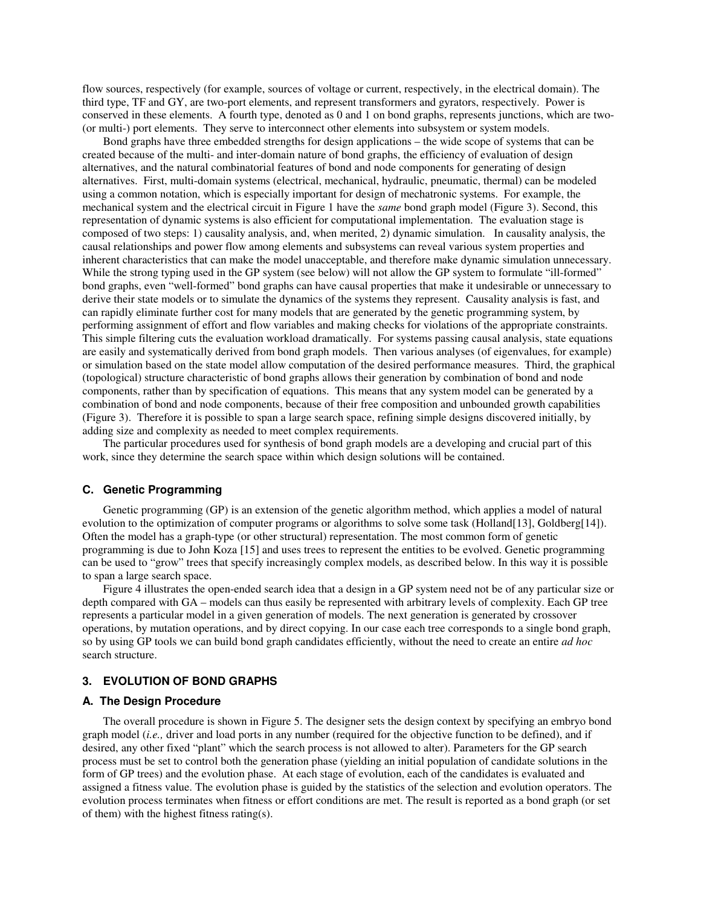flow sources, respectively (for example, sources of voltage or current, respectively, in the electrical domain). The third type, TF and GY, are two-port elements, and represent transformers and gyrators, respectively. Power is conserved in these elements. A fourth type, denoted as 0 and 1 on bond graphs, represents junctions, which are two- (or multi-) port elements. They serve to interconnect other elements into subsystem or system models.

Bond graphs have three embedded strengths for design applications – the wide scope of systems that can be created because of the multi- and inter-domain nature of bond graphs, the efficiency of evaluation of design alternatives, and the natural combinatorial features of bond and node components for generating of design alternatives. First, multi-domain systems (electrical, mechanical, hydraulic, pneumatic, thermal) can be modeled using a common notation, which is especially important for design of mechatronic systems. For example, the mechanical system and the electrical circuit in Figure 1 have the *same* bond graph model (Figure 3). Second, this representation of dynamic systems is also efficient for computational implementation. The evaluation stage is composed of two steps: 1) causality analysis, and, when merited, 2) dynamic simulation. In causality analysis, the causal relationships and power flow among elements and subsystems can reveal various system properties and inherent characteristics that can make the model unacceptable, and therefore make dynamic simulation unnecessary. While the strong typing used in the GP system (see below) will not allow the GP system to formulate "ill-formed" bond graphs, even "well-formed" bond graphs can have causal properties that make it undesirable or unnecessary to derive their state models or to simulate the dynamics of the systems they represent. Causality analysis is fast, and can rapidly eliminate further cost for many models that are generated by the genetic programming system, by performing assignment of effort and flow variables and making checks for violations of the appropriate constraints. This simple filtering cuts the evaluation workload dramatically. For systems passing causal analysis, state equations are easily and systematically derived from bond graph models. Then various analyses (of eigenvalues, for example) or simulation based on the state model allow computation of the desired performance measures. Third, the graphical (topological) structure characteristic of bond graphs allows their generation by combination of bond and node components, rather than by specification of equations. This means that any system model can be generated by a combination of bond and node components, because of their free composition and unbounded growth capabilities (Figure 3). Therefore it is possible to span a large search space, refining simple designs discovered initially, by adding size and complexity as needed to meet complex requirements.

The particular procedures used for synthesis of bond graph models are a developing and crucial part of this work, since they determine the search space within which design solutions will be contained.

## **C. Genetic Programming**

Genetic programming (GP) is an extension of the genetic algorithm method, which applies a model of natural evolution to the optimization of computer programs or algorithms to solve some task (Holland[13], Goldberg[14]). Often the model has a graph-type (or other structural) representation. The most common form of genetic programming is due to John Koza [15] and uses trees to represent the entities to be evolved. Genetic programming can be used to "grow" trees that specify increasingly complex models, as described below. In this way it is possible to span a large search space.

Figure 4 illustrates the open-ended search idea that a design in a GP system need not be of any particular size or depth compared with GA – models can thus easily be represented with arbitrary levels of complexity. Each GP tree represents a particular model in a given generation of models. The next generation is generated by crossover operations, by mutation operations, and by direct copying. In our case each tree corresponds to a single bond graph, so by using GP tools we can build bond graph candidates efficiently, without the need to create an entire *ad hoc* search structure.

#### **3. EVOLUTION OF BOND GRAPHS**

## **A. The Design Procedure**

The overall procedure is shown in Figure 5. The designer sets the design context by specifying an embryo bond graph model (*i.e.,* driver and load ports in any number (required for the objective function to be defined), and if desired, any other fixed "plant" which the search process is not allowed to alter). Parameters for the GP search process must be set to control both the generation phase (yielding an initial population of candidate solutions in the form of GP trees) and the evolution phase. At each stage of evolution, each of the candidates is evaluated and assigned a fitness value. The evolution phase is guided by the statistics of the selection and evolution operators. The evolution process terminates when fitness or effort conditions are met. The result is reported as a bond graph (or set of them) with the highest fitness rating(s).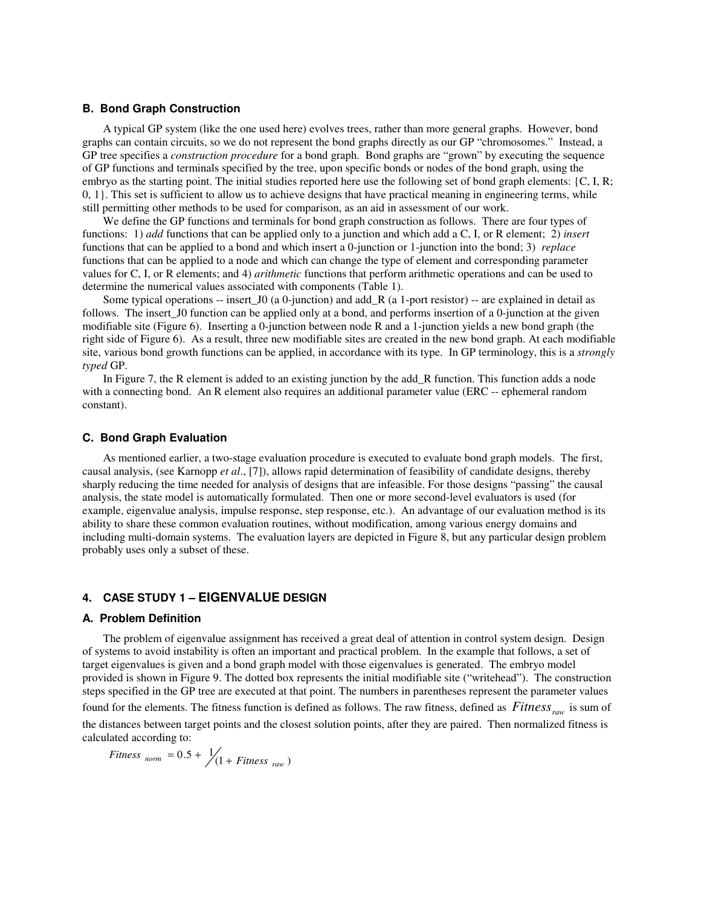## **B. Bond Graph Construction**

A typical GP system (like the one used here) evolves trees, rather than more general graphs. However, bond graphs can contain circuits, so we do not represent the bond graphs directly as our GP "chromosomes." Instead, a GP tree specifies a *construction procedure* for a bond graph. Bond graphs are "grown" by executing the sequence of GP functions and terminals specified by the tree, upon specific bonds or nodes of the bond graph, using the embryo as the starting point. The initial studies reported here use the following set of bond graph elements: {C, I, R; 0, 1}. This set is sufficient to allow us to achieve designs that have practical meaning in engineering terms, while still permitting other methods to be used for comparison, as an aid in assessment of our work.

We define the GP functions and terminals for bond graph construction as follows. There are four types of functions: 1) *add* functions that can be applied only to a junction and which add a C, I, or R element; 2) *insert* functions that can be applied to a bond and which insert a 0-junction or 1-junction into the bond; 3) *replace* functions that can be applied to a node and which can change the type of element and corresponding parameter values for C, I, or R elements; and 4) *arithmetic* functions that perform arithmetic operations and can be used to determine the numerical values associated with components (Table 1).

Some typical operations -- insert\_J0 (a 0-junction) and add\_R (a 1-port resistor) -- are explained in detail as follows. The insert\_J0 function can be applied only at a bond, and performs insertion of a 0-junction at the given modifiable site (Figure 6). Inserting a 0-junction between node R and a 1-junction yields a new bond graph (the right side of Figure 6). As a result, three new modifiable sites are created in the new bond graph. At each modifiable site, various bond growth functions can be applied, in accordance with its type. In GP terminology, this is a *strongly typed* GP.

In Figure 7, the R element is added to an existing junction by the add R function. This function adds a node with a connecting bond. An R element also requires an additional parameter value (ERC -- ephemeral random constant).

#### **C. Bond Graph Evaluation**

As mentioned earlier, a two-stage evaluation procedure is executed to evaluate bond graph models. The first, causal analysis, (see Karnopp *et al*., [7]), allows rapid determination of feasibility of candidate designs, thereby sharply reducing the time needed for analysis of designs that are infeasible. For those designs "passing" the causal analysis, the state model is automatically formulated. Then one or more second-level evaluators is used (for example, eigenvalue analysis, impulse response, step response, etc.). An advantage of our evaluation method is its ability to share these common evaluation routines, without modification, among various energy domains and including multi-domain systems. The evaluation layers are depicted in Figure 8, but any particular design problem probably uses only a subset of these.

# **4. CASE STUDY 1 – EIGENVALUE DESIGN**

#### **A. Problem Definition**

The problem of eigenvalue assignment has received a great deal of attention in control system design. Design of systems to avoid instability is often an important and practical problem. In the example that follows, a set of target eigenvalues is given and a bond graph model with those eigenvalues is generated. The embryo model provided is shown in Figure 9. The dotted box represents the initial modifiable site ("writehead"). The construction steps specified in the GP tree are executed at that point. The numbers in parentheses represent the parameter values found for the elements. The fitness function is defined as follows. The raw fitness, defined as  $fitness_{raw}$  is sum of the distances between target points and the closest solution points, after they are paired. Then normalized fitness is calculated according to:

$$
Fitness_{norm} = 0.5 + \frac{1}{1} \left(1 + Fitness_{raw}\right)
$$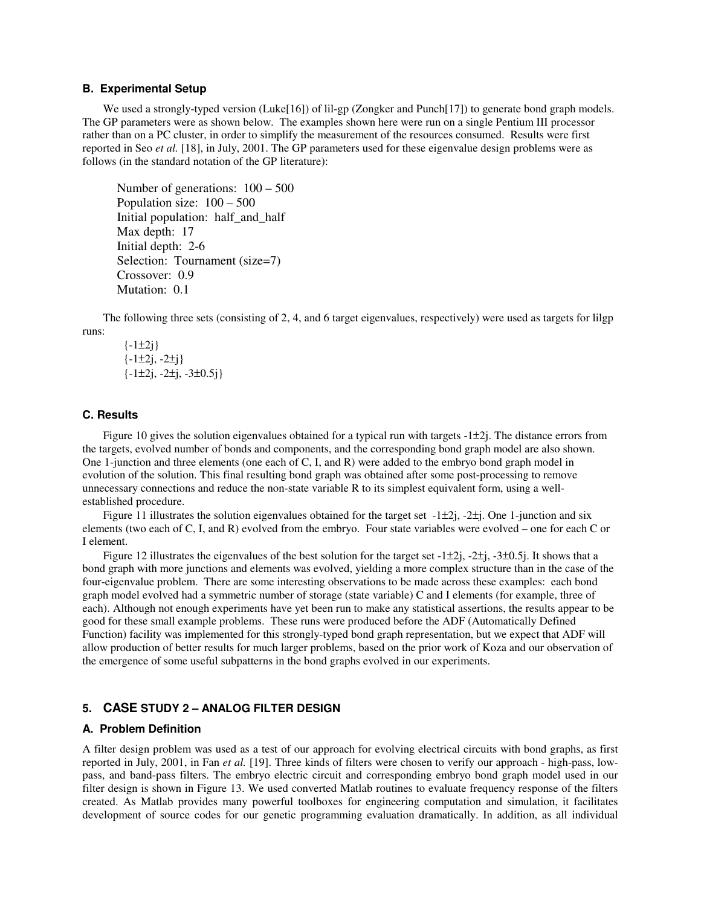## **B. Experimental Setup**

We used a strongly-typed version (Luke<sup>[16]</sup>) of lil-gp (Zongker and Punch<sup>[17]</sup>) to generate bond graph models. The GP parameters were as shown below. The examples shown here were run on a single Pentium III processor rather than on a PC cluster, in order to simplify the measurement of the resources consumed. Results were first reported in Seo *et al.* [18], in July, 2001. The GP parameters used for these eigenvalue design problems were as follows (in the standard notation of the GP literature):

```
Number of generations: 100 – 500
Population size: 100 – 500
Initial population: half_and_half
Max depth: 17
Initial depth: 2-6
Selection: Tournament (size=7)
Crossover: 0.9
Mutation: 0.1
```
The following three sets (consisting of 2, 4, and 6 target eigenvalues, respectively) were used as targets for lilgp runs:

 $\{-1\pm 2j\}$  $\{-1\pm 2j, -2\pm j\}$  $\{-1\pm 2i, -2\pm i, -3\pm 0.5i\}$ 

## **C. Results**

Figure 10 gives the solution eigenvalues obtained for a typical run with targets  $-1\pm 2i$ . The distance errors from the targets, evolved number of bonds and components, and the corresponding bond graph model are also shown. One 1-junction and three elements (one each of C, I, and R) were added to the embryo bond graph model in evolution of the solution. This final resulting bond graph was obtained after some post-processing to remove unnecessary connections and reduce the non-state variable R to its simplest equivalent form, using a wellestablished procedure.

Figure 11 illustrates the solution eigenvalues obtained for the target set  $-1\pm 2j$ ,  $-2\pm j$ . One 1-junction and six elements (two each of C, I, and R) evolved from the embryo. Four state variables were evolved – one for each C or I element.

Figure 12 illustrates the eigenvalues of the best solution for the target set  $-1\pm 2j$ ,  $-2\pm j$ ,  $-3\pm 0.5j$ . It shows that a bond graph with more junctions and elements was evolved, yielding a more complex structure than in the case of the four-eigenvalue problem. There are some interesting observations to be made across these examples: each bond graph model evolved had a symmetric number of storage (state variable) C and I elements (for example, three of each). Although not enough experiments have yet been run to make any statistical assertions, the results appear to be good for these small example problems. These runs were produced before the ADF (Automatically Defined Function) facility was implemented for this strongly-typed bond graph representation, but we expect that ADF will allow production of better results for much larger problems, based on the prior work of Koza and our observation of the emergence of some useful subpatterns in the bond graphs evolved in our experiments.

## **5. CASE STUDY 2 – ANALOG FILTER DESIGN**

## **A. Problem Definition**

A filter design problem was used as a test of our approach for evolving electrical circuits with bond graphs, as first reported in July, 2001, in Fan *et al.* [19]. Three kinds of filters were chosen to verify our approach - high-pass, lowpass, and band-pass filters. The embryo electric circuit and corresponding embryo bond graph model used in our filter design is shown in Figure 13. We used converted Matlab routines to evaluate frequency response of the filters created. As Matlab provides many powerful toolboxes for engineering computation and simulation, it facilitates development of source codes for our genetic programming evaluation dramatically. In addition, as all individual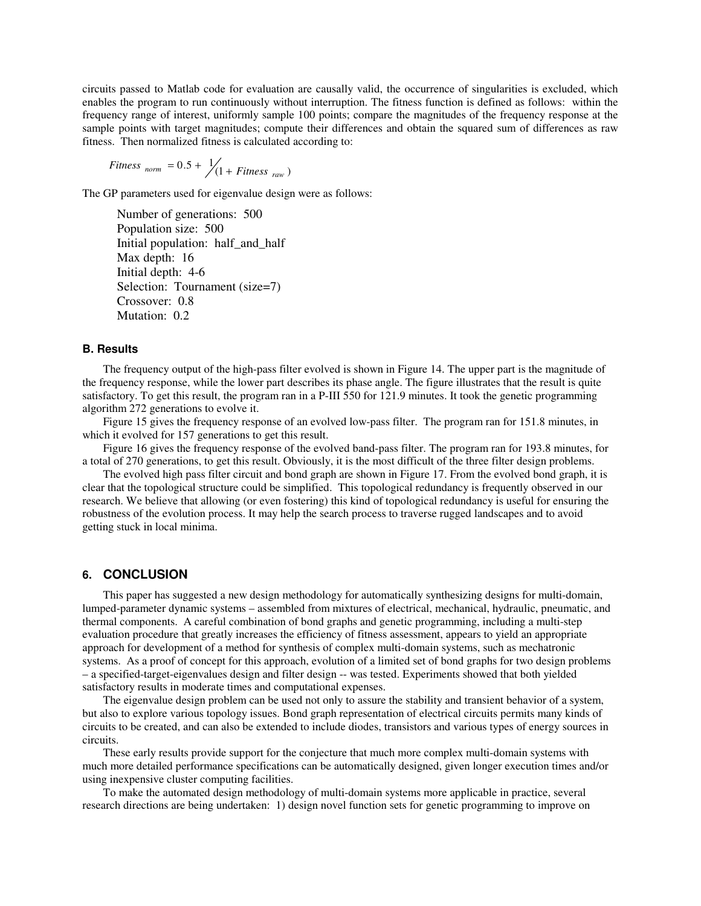circuits passed to Matlab code for evaluation are causally valid, the occurrence of singularities is excluded, which enables the program to run continuously without interruption. The fitness function is defined as follows: within the frequency range of interest, uniformly sample 100 points; compare the magnitudes of the frequency response at the sample points with target magnitudes; compute their differences and obtain the squared sum of differences as raw fitness. Then normalized fitness is calculated according to:

$$
Fitness_{norm} = 0.5 + \frac{1}{1} \times Fitness_{raw})
$$

The GP parameters used for eigenvalue design were as follows:

Number of generations: 500 Population size: 500 Initial population: half\_and\_half Max depth: 16 Initial depth: 4-6 Selection: Tournament (size=7) Crossover: 0.8 Mutation: 0.2

## **B. Results**

The frequency output of the high-pass filter evolved is shown in Figure 14. The upper part is the magnitude of the frequency response, while the lower part describes its phase angle. The figure illustrates that the result is quite satisfactory. To get this result, the program ran in a P-III 550 for 121.9 minutes. It took the genetic programming algorithm 272 generations to evolve it.

Figure 15 gives the frequency response of an evolved low-pass filter. The program ran for 151.8 minutes, in which it evolved for 157 generations to get this result.

Figure 16 gives the frequency response of the evolved band-pass filter. The program ran for 193.8 minutes, for a total of 270 generations, to get this result. Obviously, it is the most difficult of the three filter design problems.

The evolved high pass filter circuit and bond graph are shown in Figure 17. From the evolved bond graph, it is clear that the topological structure could be simplified. This topological redundancy is frequently observed in our research. We believe that allowing (or even fostering) this kind of topological redundancy is useful for ensuring the robustness of the evolution process. It may help the search process to traverse rugged landscapes and to avoid getting stuck in local minima.

# **6. CONCLUSION**

This paper has suggested a new design methodology for automatically synthesizing designs for multi-domain, lumped-parameter dynamic systems – assembled from mixtures of electrical, mechanical, hydraulic, pneumatic, and thermal components. A careful combination of bond graphs and genetic programming, including a multi-step evaluation procedure that greatly increases the efficiency of fitness assessment, appears to yield an appropriate approach for development of a method for synthesis of complex multi-domain systems, such as mechatronic systems. As a proof of concept for this approach, evolution of a limited set of bond graphs for two design problems – a specified-target-eigenvalues design and filter design -- was tested. Experiments showed that both yielded satisfactory results in moderate times and computational expenses.

The eigenvalue design problem can be used not only to assure the stability and transient behavior of a system, but also to explore various topology issues. Bond graph representation of electrical circuits permits many kinds of circuits to be created, and can also be extended to include diodes, transistors and various types of energy sources in circuits.

These early results provide support for the conjecture that much more complex multi-domain systems with much more detailed performance specifications can be automatically designed, given longer execution times and/or using inexpensive cluster computing facilities.

To make the automated design methodology of multi-domain systems more applicable in practice, several research directions are being undertaken: 1) design novel function sets for genetic programming to improve on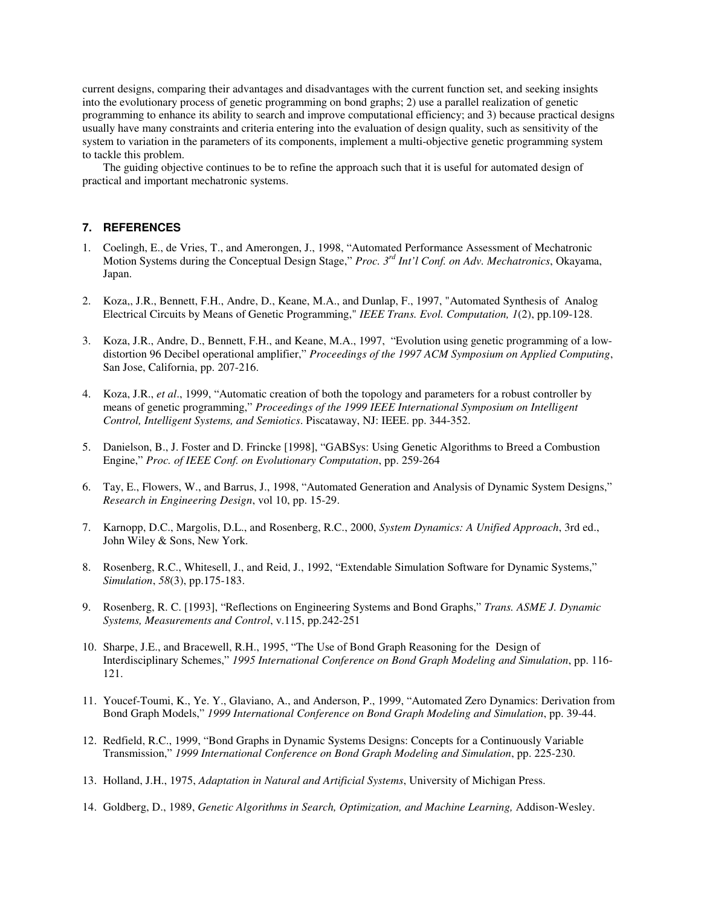current designs, comparing their advantages and disadvantages with the current function set, and seeking insights into the evolutionary process of genetic programming on bond graphs; 2) use a parallel realization of genetic programming to enhance its ability to search and improve computational efficiency; and 3) because practical designs usually have many constraints and criteria entering into the evaluation of design quality, such as sensitivity of the system to variation in the parameters of its components, implement a multi-objective genetic programming system to tackle this problem.

The guiding objective continues to be to refine the approach such that it is useful for automated design of practical and important mechatronic systems.

## **7. REFERENCES**

- 1. Coelingh, E., de Vries, T., and Amerongen, J., 1998, "Automated Performance Assessment of Mechatronic Motion Systems during the Conceptual Design Stage," *Proc. 3 rd Int'l Conf. on Adv. Mechatronics*, Okayama, Japan.
- 2. Koza,, J.R., Bennett, F.H., Andre, D., Keane, M.A., and Dunlap, F., 1997, "Automated Synthesis of Analog Electrical Circuits by Means of Genetic Programming," *IEEE Trans. Evol. Computation, 1*(2), pp.109-128.
- 3. Koza, J.R., Andre, D., Bennett, F.H., and Keane, M.A., 1997, "Evolution using genetic programming of a lowdistortion 96 Decibel operational amplifier," *Proceedings of the 1997 ACM Symposium on Applied Computing*, San Jose, California, pp. 207-216.
- 4. Koza, J.R., *et al*., 1999, "Automatic creation of both the topology and parameters for a robust controller by means of genetic programming," *Proceedings of the 1999 IEEE International Symposium on Intelligent Control, Intelligent Systems, and Semiotics*. Piscataway, NJ: IEEE. pp. 344-352.
- 5. Danielson, B., J. Foster and D. Frincke [1998], "GABSys: Using Genetic Algorithms to Breed a Combustion Engine," *Proc. of IEEE Conf. on Evolutionary Computation*, pp. 259-264
- 6. Tay, E., Flowers, W., and Barrus, J., 1998, "Automated Generation and Analysis of Dynamic System Designs," *Research in Engineering Design*, vol 10, pp. 15-29.
- 7. Karnopp, D.C., Margolis, D.L., and Rosenberg, R.C., 2000, *System Dynamics: A Unified Approach*, 3rd ed., John Wiley & Sons, New York.
- 8. Rosenberg, R.C., Whitesell, J., and Reid, J., 1992, "Extendable Simulation Software for Dynamic Systems," *Simulation*, *58*(3), pp.175-183.
- 9. Rosenberg, R. C. [1993], "Reflections on Engineering Systems and Bond Graphs," *Trans. ASME J. Dynamic Systems, Measurements and Control*, v.115, pp.242-251
- 10. Sharpe, J.E., and Bracewell, R.H., 1995, "The Use of Bond Graph Reasoning for the Design of Interdisciplinary Schemes," *1995 International Conference on Bond Graph Modeling and Simulation*, pp. 116- 121.
- 11. Youcef-Toumi, K., Ye. Y., Glaviano, A., and Anderson, P., 1999, "Automated Zero Dynamics: Derivation from Bond Graph Models," *1999 International Conference on Bond Graph Modeling and Simulation*, pp. 39-44.
- 12. Redfield, R.C., 1999, "Bond Graphs in Dynamic Systems Designs: Concepts for a Continuously Variable Transmission," *1999 International Conference on Bond Graph Modeling and Simulation*, pp. 225-230.
- 13. Holland, J.H., 1975, *Adaptation in Natural and Artificial Systems*, University of Michigan Press.
- 14. Goldberg, D., 1989, *Genetic Algorithms in Search, Optimization, and Machine Learning,* Addison-Wesley.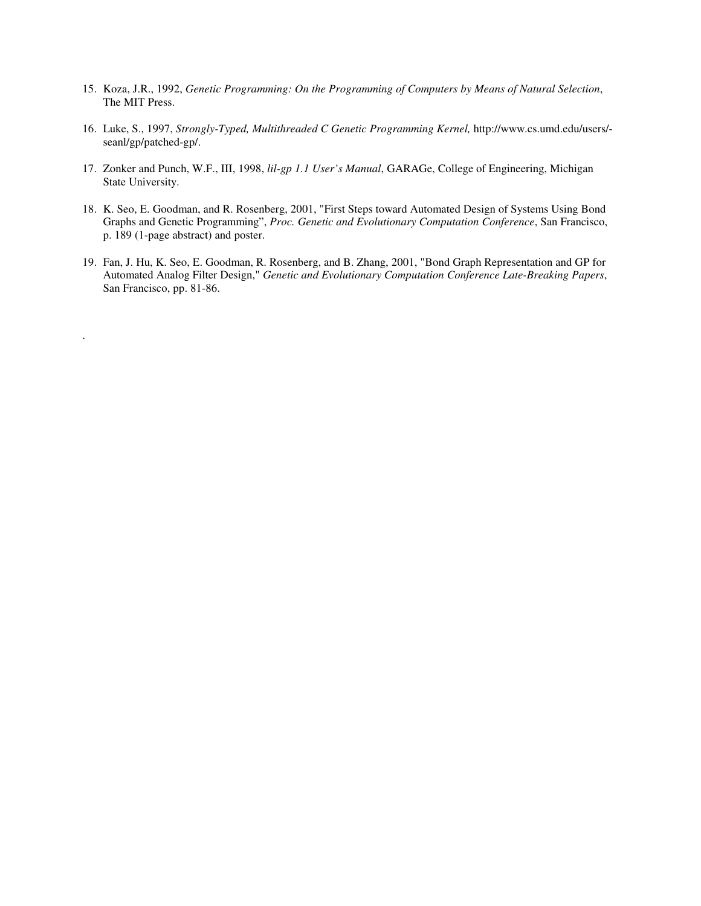- 15. Koza, J.R., 1992, *Genetic Programming: On the Programming of Computers by Means of Natural Selection*, The MIT Press.
- 16. Luke, S., 1997, *Strongly-Typed, Multithreaded C Genetic Programming Kernel,* http://www.cs.umd.edu/users/ seanl/gp/patched-gp/.
- 17. Zonker and Punch, W.F., III, 1998, *lil-gp 1.1 User's Manual*, GARAGe, College of Engineering, Michigan State University.
- 18. K. Seo, E. Goodman, and R. Rosenberg, 2001, "First Steps toward Automated Design of Systems Using Bond Graphs and Genetic Programming", *Proc. Genetic and Evolutionary Computation Conference*, San Francisco, p. 189 (1-page abstract) and poster.
- 19. Fan, J. Hu, K. Seo, E. Goodman, R. Rosenberg, and B. Zhang, 2001, "Bond Graph Representation and GP for Automated Analog Filter Design," *Genetic and Evolutionary Computation Conference Late-Breaking Papers*, San Francisco, pp. 81-86.

.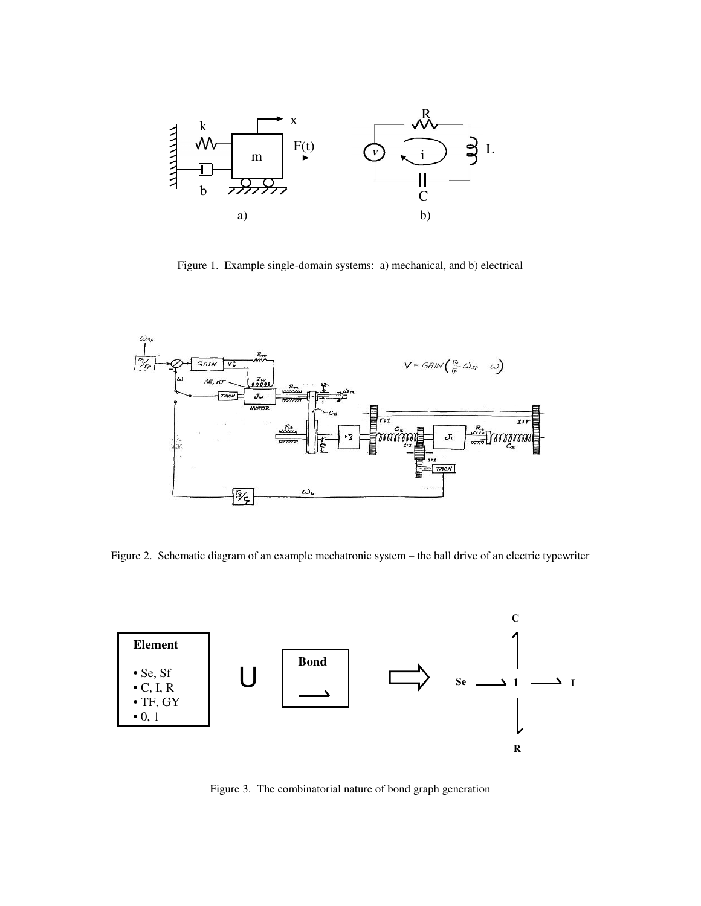

Figure 1. Example single-domain systems: a) mechanical, and b) electrical



Figure 2. Schematic diagram of an example mechatronic system – the ball drive of an electric typewriter



Figure 3. The combinatorial nature of bond graph generation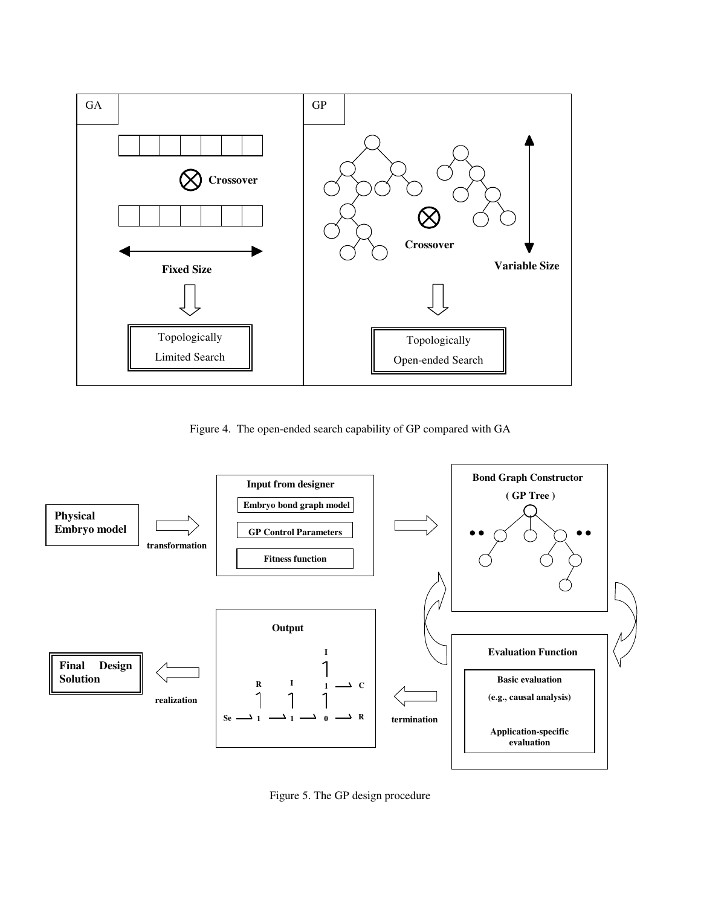

Figure 4. The open-ended search capability of GP compared with GA



Figure 5. The GP design procedure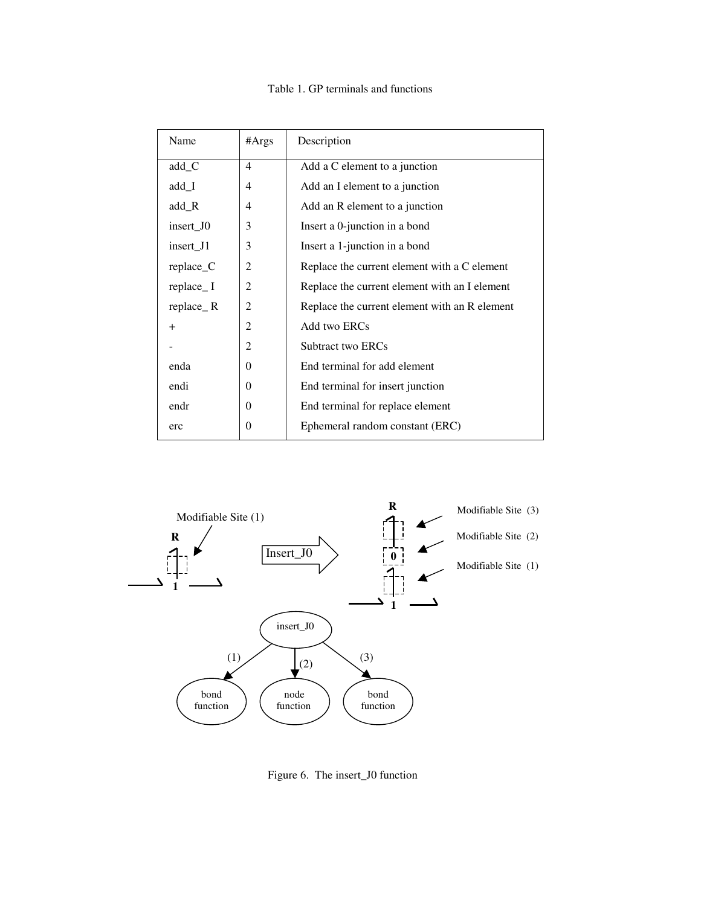# Table 1. GP terminals and functions

| #Args          | Description                                   |  |  |
|----------------|-----------------------------------------------|--|--|
| 4              | Add a C element to a junction                 |  |  |
| 4              | Add an I element to a junction                |  |  |
| $\overline{4}$ | Add an R element to a junction                |  |  |
| 3              | Insert a 0-junction in a bond                 |  |  |
| 3              | Insert a 1-junction in a bond                 |  |  |
| 2              | Replace the current element with a C element  |  |  |
| 2              | Replace the current element with an I element |  |  |
| $\overline{2}$ | Replace the current element with an R element |  |  |
| 2              | Add two ERCs                                  |  |  |
| $\overline{2}$ | Subtract two ERCs                             |  |  |
| $\Omega$       | End terminal for add element                  |  |  |
| $\Omega$       | End terminal for insert junction              |  |  |
| $\Omega$       | End terminal for replace element              |  |  |
| $\Omega$       | Ephemeral random constant (ERC)               |  |  |
|                |                                               |  |  |



Figure 6. The insert\_J0 function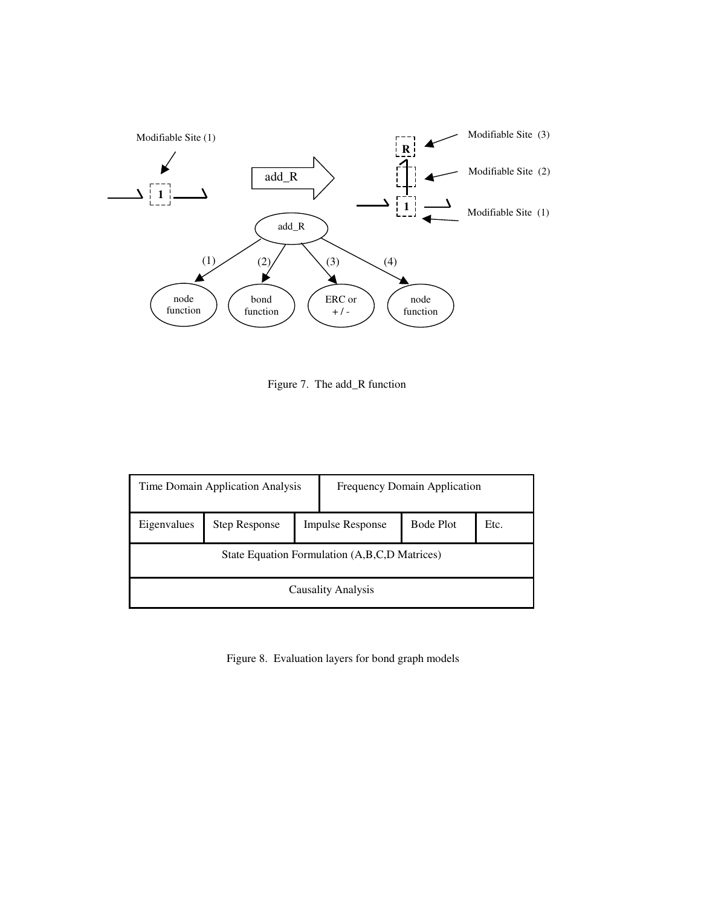

Figure 7. The add\_R function

| Time Domain Application Analysis              |                                                 |  | <b>Frequency Domain Application</b> |                  |      |  |  |
|-----------------------------------------------|-------------------------------------------------|--|-------------------------------------|------------------|------|--|--|
| Eigenvalues                                   | <b>Impulse Response</b><br><b>Step Response</b> |  |                                     | <b>Bode Plot</b> | Etc. |  |  |
| State Equation Formulation (A,B,C,D Matrices) |                                                 |  |                                     |                  |      |  |  |
| <b>Causality Analysis</b>                     |                                                 |  |                                     |                  |      |  |  |

Figure 8. Evaluation layers for bond graph models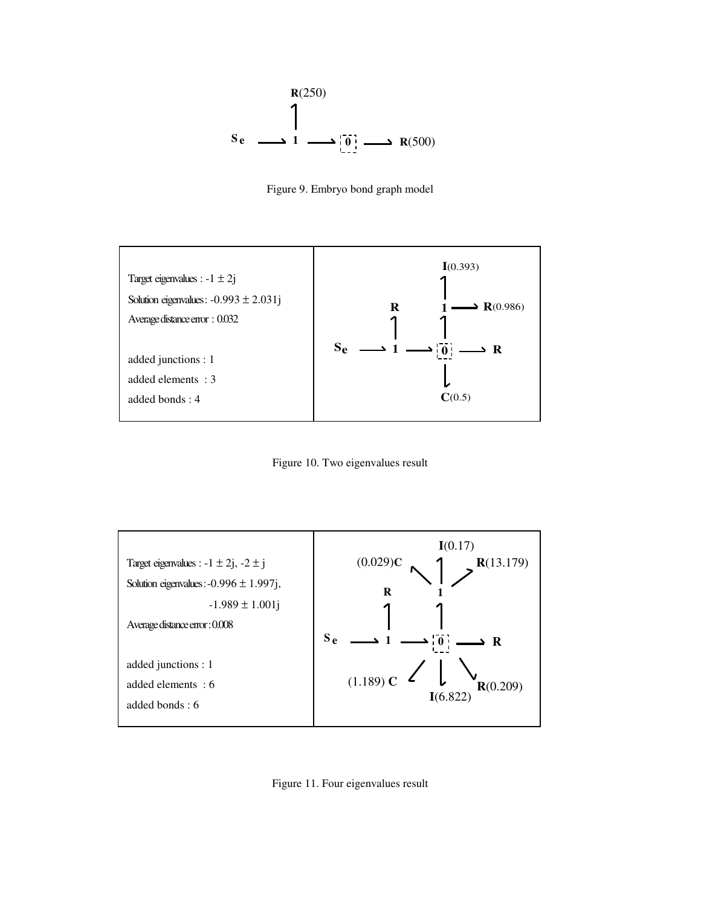





Figure 10. Two eigenvalues result



Figure 11. Four eigenvalues result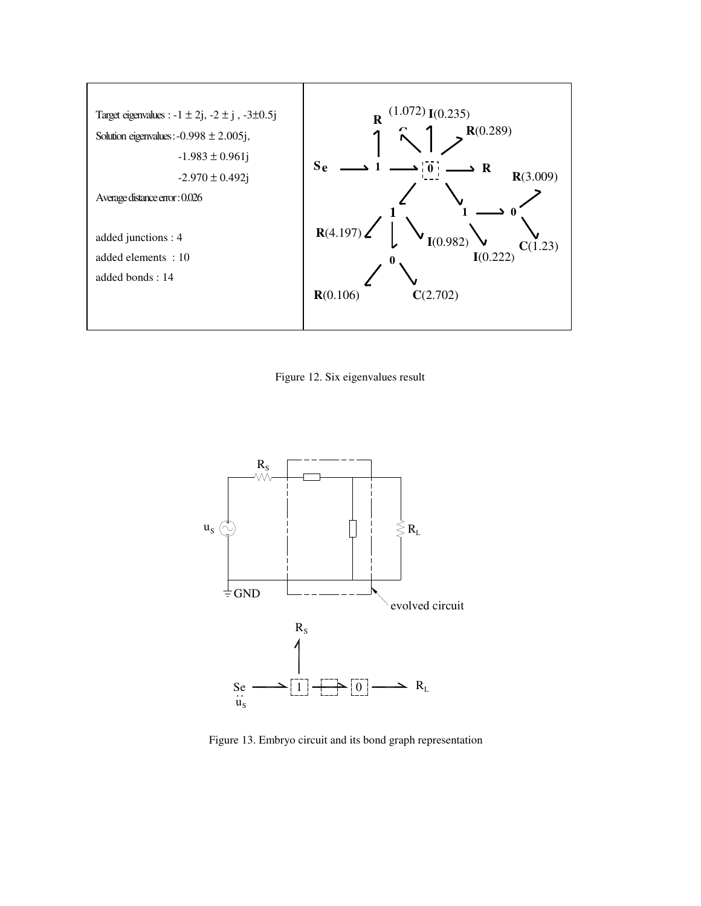

Figure 12. Six eigenvalues result



Figure 13. Embryo circuit and its bond graph representation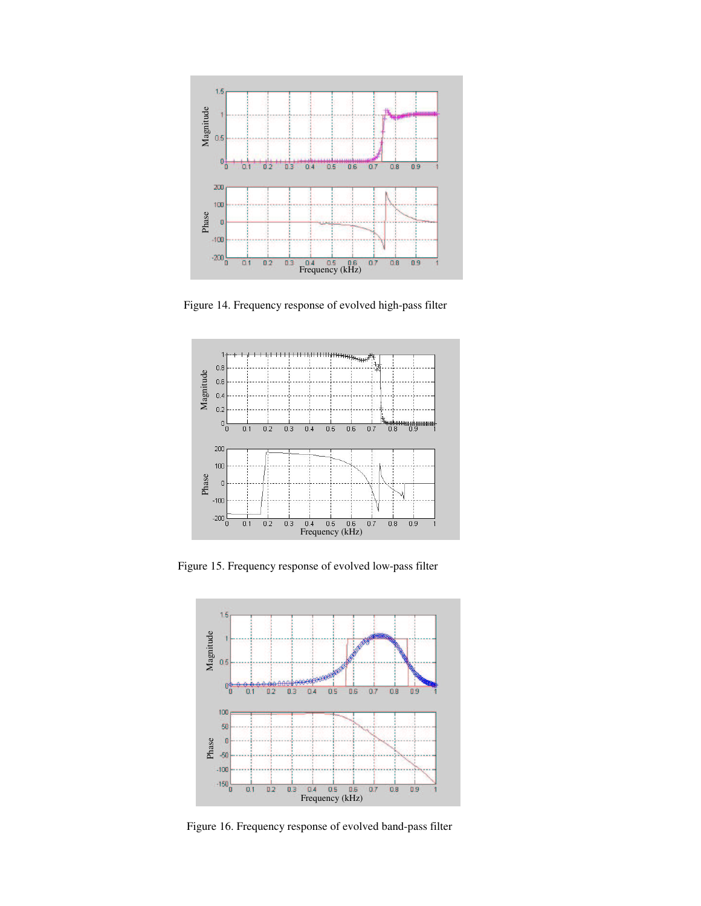

Figure 14. Frequency response of evolved high-pass filter



Figure 15. Frequency response of evolved low-pass filter



Figure 16. Frequency response of evolved band-pass filter